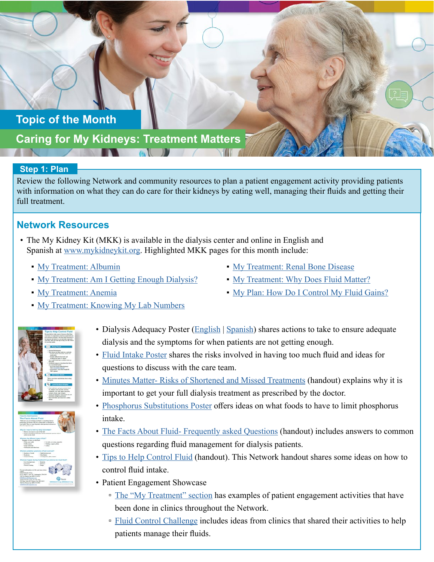# **Topic of the Month**

**Caring for My Kidneys: Treatment Matters**

## **Step 1: Plan**

Review the following Network and community resources to plan a patient engagement activity providing patients with information on what they can do care for their kidneys by eating well, managing their fluids and getting their full treatment.

## **Network Resources**

- The My Kidney Kit (MKK) is available in the dialysis center and online in English and Spanish at [www.mykidneykit.org.](http://www.mykidneykit.org) Highlighted MKK pages for this month include:
	- **[My Treatment: Albumin](https://resourcehub.exchange/download/my-treatment-albumin/?wpdmdl=5145&refresh=601190d1dfba41611763921)**
	- **[My Treatment: Am I Getting Enough Dialysis?](https://resourcehub.exchange/download/my-treatment-getting-enough-dialysis/?wpdmdl=5135&refresh=6011910f6183b1611763983)**
	- **[My Treatment: Anemia](https://resourcehub.exchange/?goto=XxVfMhpiZ0owWzVBIFAcWVs0UihAQi9WViALUydaBhgqNDYLWVAabQpDGyEuW0YFCExBF08bKQ1gbU4HNVkoWgpUGnYTazpdM1o_RzoOTFQeMEQsWRAlUVkkXE12AklGcW1vXEU)**
	- [My Treatment: Knowing My Lab Numbers](https://resourcehub.exchange/download/my-treatment-knowing-my-lab-numbers/?wpdmdl=5131&refresh=601191e7bbf6f1611764199)
- [My Treatment: Renal Bone Disease](https://resourcehub.exchange/?goto=XxVfMhpiZ0owWzVBIFAcWVs0UihAQi9WViALUydaBhgqNDYLWVAabQpDGyEuW0YFCExSHEQXLEEtPVcSfFAlRVIAWCcPcj9IMUU-WG8GSAMZcA4oXlMiRFB6WxlzU0lHc2hiCkBcVHFLBkZwbQIXXk0)
- **[My Treatment: Why Does Fluid Matter?](https://resourcehub.exchange/?goto=XxVfMhpiZ0owWzVBIFAcWVs0UihAQi9WViALUydaBhgqNDYLWVAabQpDGyEuW0YFCExGFV8fJEE4N1AQOUBjCUARTy9EIXUNZBttEiBWH0NLJRRwDUR3UQBwWkghB0kTcGpiWE4NVHVHBkw)**
- **[My Plan: How Do I Control My Fluid Gains?](https://resourcehub.exchange/download/my-plan-control-fluids/?wpdmdl=5122&refresh=601af2836b9421612378755)**





- Dialysis Adequacy Poster ([English](https://resourcehub.exchange/download/dialysis-adequacy/?wpdmdl=5317&refresh=6025b64bece1d1613084235) | [Spanish\)](https://resourcehub.exchange/download/spanish-dialysis-adequacy-poster/?wpdmdl=5319&refresh=6025b6659d3da1613084261) shares actions to take to ensure adequate dialysis and the symptoms for when patients are not getting enough.
- [Fluid Intake](https://resourcehub.exchange/download/fluid-intake-poster/?wpdmdl=8200&refresh=6025b698c2eca1613084312) Poster shares the risks involved in having too much fluid and ideas for questions to discuss with the care team.
- [Minutes Matter- Risks of Shortened and Missed Treatments](https://resourcehub.exchange/download/minutes-matter-risks-of-shortened-or-missed-treatment/?wpdmdl=5042&refresh=60247ab631e261613003446) (handout) explains why it is important to get your full dialysis treatment as prescribed by the doctor.
- [Phosphorus Substitutions](https://resourcehub.exchange/download/phosphorus-substitutions-poster/?wpdmdl=8202&refresh=60247dfe26bf41613004286) Poster offers ideas on what foods to have to limit phosphorus intake.
- [The Facts About Fluid- Frequently asked Questions](https://resourcehub.exchange/download/the-facts-about-fluid-faq/?wpdmdl=6821&refresh=60247e825ab991613004418) (handout) includes answers to common questions regarding fluid management for dialysis patients.
- [Tips to Help Control Fluid](https://resourcehub.exchange/download/tips-to-help-control-fluid/?wpdmdl=6823&refresh=60247e9fa6e1b1613004447) (handout). This Network handout shares some ideas on how to control fluid intake.
- Patient Engagement Showcase
	- □ [The "My Treatment" section](https://resourcehub.exchange/resources/esrd/my-kidney-kit/#1577805358496-c9da81ef-c2b2) has examples of patient engagement activities that have been done in clinics throughout the Network.
	- [Fluid Control Challenge](https://resourcehub.exchange/download/patient-engagement-showcase-fluid-challenge/?wpdmdl=7435&refresh=60247f2927bf61613004585) includes ideas from clinics that shared their activities to help patients manage their fluids.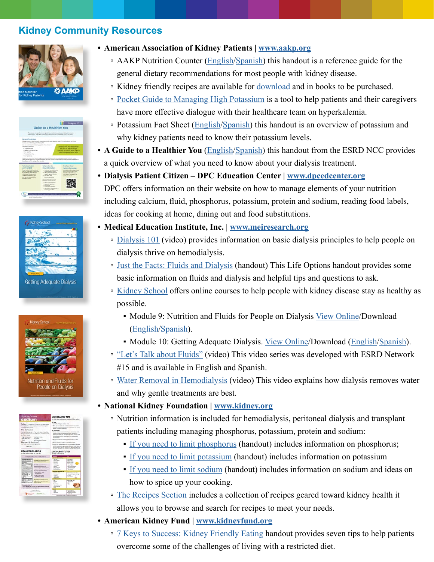# **Kidney Community Resources**



|                                                                                                                             | the monitor is a quoti painting of what you need to treas situati your delays treas twell.<br>Reported X, with down positions you have not left to a member of your cent more.                                                          |                                                                                        |
|-----------------------------------------------------------------------------------------------------------------------------|-----------------------------------------------------------------------------------------------------------------------------------------------------------------------------------------------------------------------------------------|----------------------------------------------------------------------------------------|
| Missing Treatments                                                                                                          |                                                                                                                                                                                                                                         |                                                                                        |
| business use this of behavior of a the function                                                                             | Mong necessary of our transport and at their structure designment book. The could most pay half it and                                                                                                                                  |                                                                                        |
| this may install be a World-Score symptom of your Associate                                                                 |                                                                                                                                                                                                                                         |                                                                                        |
| Information Construction<br>a Trouble boostering                                                                            |                                                                                                                                                                                                                                         | Asteritis who wiss tenstments<br>are also at higher risk for                           |
| 1 Seeding in the Nother trage-                                                                                              |                                                                                                                                                                                                                                         | infector and more likely to have                                                       |
| a liste specific                                                                                                            |                                                                                                                                                                                                                                         | many interpretator cannon wide.                                                        |
|                                                                                                                             |                                                                                                                                                                                                                                         |                                                                                        |
| <b>Chapter and working</b>                                                                                                  |                                                                                                                                                                                                                                         |                                                                                        |
|                                                                                                                             | Parke to acts mile distant also in car any for youtharizes that security nationals in area. Author income or Please<br>residence are representative and funds incurrent features company conditions from in delications in a statement. |                                                                                        |
|                                                                                                                             | $\overline{a}$ in the limit                                                                                                                                                                                                             |                                                                                        |
| I has a smoot<br>lower disease or belo manipul when therefore.<br><b>Take Merication</b>                                    | Take Artist to                                                                                                                                                                                                                          | Test Your Hard                                                                         |
| as Prescribed                                                                                                               | <b>Present lefactions</b>                                                                                                                                                                                                               | <b>Hygiene Enceiledge</b>                                                              |
| To are the star model nearings<br>tainum modustus supercrited                                                               | If Mish your bandy behind you.<br>copy the statute cardial                                                                                                                                                                              | August Blue State Combe also trades their News<br><b>But cheer facer a findability</b> |
|                                                                                                                             | a check part placed access                                                                                                                                                                                                              | Interestive Automal Photography                                                        |
|                                                                                                                             | state for agricultural state.<br>- Get the fit and                                                                                                                                                                                      | Litradicti, congress and<br>tedium enter                                               |
| by your dealer shuth help you.<br>sankel way Mashawaya.<br>crainment, and flash is with<br>also belo una statistica di dis- | post-marketing countries.                                                                                                                                                                                                               |                                                                                        |
| always colors.                                                                                                              | <b>Excess held afternoon</b><br>To Advise automobile below                                                                                                                                                                              |                                                                                        |
|                                                                                                                             | · Block street infections                                                                                                                                                                                                               |                                                                                        |
|                                                                                                                             | a money dia relations                                                                                                                                                                                                                   |                                                                                        |
|                                                                                                                             | a Residently<br>a tomorrow of minimum<br>a listanzia o valuazioni di                                                                                                                                                                    |                                                                                        |





trition and Fluids for People on Dialysis



- **American Association of Kidney Patients | [www.aakp.org](http://www.aakp.org)**
	- AAKP Nutrition Counter ([English](https://aakp.org/wp-content/uploads/2020/08/NutritionCounter_English_080618_digital.pdf)/[Spanish\)](https://aakp.org/wp-content/uploads/2020/02/NutritionCounter_Spanish_082218_digital.pdf) this handout is a reference guide for the general dietary recommendations for most people with kidney disease.
	- □ Kidney friendly recipes are available for [download](https://aakp.org/center-for-patient-research-and-education/kidney-friendly-recipes/) and in books to be purchased.
	- [Pocket Guide to Managing High Potassium](https://aakp.org/wp-content/uploads/2020/03/AAKP_HighPotassiumGuide_Digital.pdf) is a tool to help patients and their caregivers have more effective dialogue with their healthcare team on hyperkalemia.
	- □ Potassium Fact Sheet ([English](https://aakp.org/wp-content/uploads/2020/04/Fact-Sheet-binder-4-2-20.pdf)/[Spanish\)](https://aakp.org/wp-content/uploads/2020/04/aakp_factsheet_espanol.pdf) this handout is an overview of potassium and why kidney patients need to know their potassium levels.
- A Guide to a Healthier You (**English[/Spanish](https://esrdncc.org/contentassets/84ad9a66a2f344efa26e36cab6ef9425/bsiguidehealthieryousp508.pdf)**) this handout from the ESRD NCC provides a quick overview of what you need to know about your dialysis treatment.
- **Dialysis Patient Citizen DPC Education Center | [www.dpcedcenter.org](http://www.dpcedcenter.org)** DPC offers information on their website on how to manage elements of your nutrition including calcium, fluid, phosphorus, potassium, protein and sodium, reading food labels, ideas for cooking at home, dining out and food substitutions.
- **Medical Education Institute, Inc. | [www.meiresearch.org](http://www.meiresearch.org)**
	- **[Dialysis 101](https://youtu.be/FqL56CCOAZs) (video) provides information on basic dialysis principles to help people on** dialysis thrive on hemodialysis.
	- **<u>• Just the Facts: Fluids and Dialysis</u>** (handout) This Life Options handout provides some basic information on fluids and dialysis and helpful tips and questions to ask.
	- [Kidney School](https://kidneyschool.org/mods/) offers online courses to help people with kidney disease stay as healthy as possible.
		- Module 9: Nutrition and Fluids for People on Dialysis [View Online/](https://kidneyschool.org/m09/)Download ([English/](https://kidneyschool.org/pdfs/KSModule9.pdf)[Spanish\)](https://kidneyschool.org/pdfs/KSModule9_SP.pdf).
		- Module 10: Getting Adequate Dialysis. [View Online/](https://kidneyschool.org/m10/)Download [\(English](https://kidneyschool.org/pdfs/KSModule10.pdf)[/Spanish](https://kidneyschool.org/pdfs/KSModule10_SP.pdf)).
	- □ ["Let's Talk about Fluids"](https://www.youtube.com/watch?v=2F2mcR-UR0k&feature=youtu.be) (video) This video series was developed with ESRD Network #15 and is available in English and Spanish.
	- [Water Removal in Hemodialysis](https://youtu.be/Tf4K5EgDDHA) (video) This video explains how dialysis removes water and why gentle treatments are best.
- **National Kidney Foundation | [www.kidney.org](http://www.kidney.org)**
	- Nutrition information is included for hemodialysis, peritoneal dialysis and transplant patients including managing phosphorus, potassium, protein and sodium:
		- **[If you need to limit phosphorus](https://www.kidney.org/sites/default/files/02-10-0411_ABB_Phosphorus.pdf) (handout) includes information on phosphorus;**
		- **[If you need to limit potassium](https://www.kidney.org/sites/default/files/02-10-0410_EBB_Potassium.pdf) (handout) includes information on potassium**
		- **[If you need to limit sodium](https://www.kidney.org/sites/default/files/02-10-0412_EBB_Sodium.pdf) (handout) includes information on sodium and ideas on** how to spice up your cooking.
	- The [Recipes](https://www.kidney.org/recipes-search) Section includes a collection of recipes geared toward kidney health it allows you to browse and search for recipes to meet your needs.
- **American Kidney Fund | [www.kidneyfund.org](http://www.kidneyfund.org/)**
	- □ [7 Keys to Success: Kidney Friendly Eating](https://www.kidneyfund.org/assets/pdf/infographics/7-keys-to-success-kidney-friendly-eating.pdf) handout provides seven tips to help patients overcome some of the challenges of living with a restricted diet.